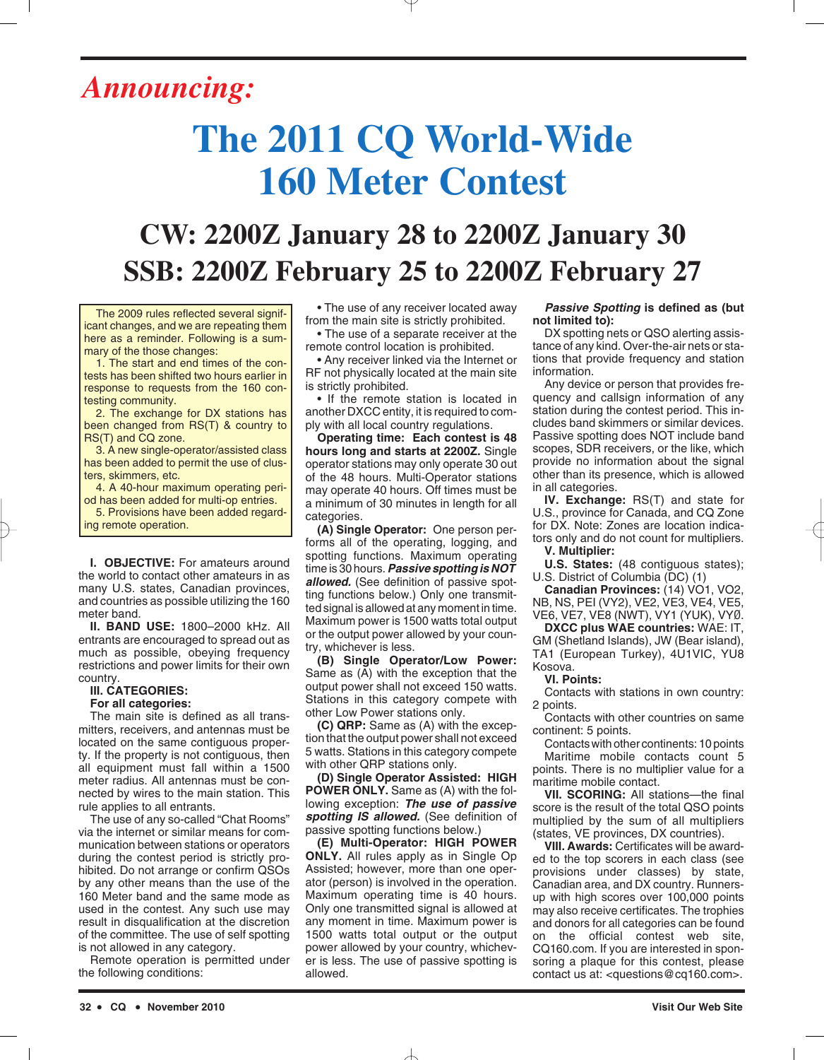## *Announcing:*

# **The 2011 CQ World-Wide 160 Meter Contest**

### **CW: 2200Z January 28 to 2200Z January 30 SSB: 2200Z February 25 to 2200Z February 27**

The 2009 rules reflected several significant changes, and we are repeating them here as a reminder. Following is a summary of the those changes:

1. The start and end times of the contests has been shifted two hours earlier in response to requests from the 160 contesting community.

2. The exchange for DX stations has been changed from RS(T) & country to RS(T) and CQ zone.

3. A new single-operator/assisted class has been added to permit the use of clusters, skimmers, etc.

4. A 40-hour maximum operating period has been added for multi-op entries.

5. Provisions have been added regarding remote operation.

**I. OBJECTIVE:** For amateurs around the world to contact other amateurs in as many U.S. states, Canadian provinces, and countries as possible utilizing the 160 meter band.

**II. BAND USE:** 1800–2000 kHz. All entrants are encouraged to spread out as much as possible, obeying frequency restrictions and power limits for their own country.

#### **III. CATEGORIES:**

#### **For all categories:**

The main site is defined as all transmitters, receivers, and antennas must be located on the same contiguous property. If the property is not contiguous, then all equipment must fall within a 1500 meter radius. All antennas must be connected by wires to the main station. This rule applies to all entrants.

The use of any so-called "Chat Rooms" via the internet or similar means for communication between stations or operators during the contest period is strictly prohibited. Do not arrange or confirm QSOs by any other means than the use of the 160 Meter band and the same mode as used in the contest. Any such use may result in disqualification at the discretion of the committee. The use of self spotting is not allowed in any category.

Remote operation is permitted under the following conditions:

• The use of any receiver located away from the main site is strictly prohibited.

• The use of a separate receiver at the remote control location is prohibited.

• Any receiver linked via the Internet or RF not physically located at the main site is strictly prohibited.

• If the remote station is located in another DXCC entity, it is required to comply with all local country regulations.

**Operating time: Each contest is 48 hours long and starts at 2200Z.** Single operator stations may only operate 30 out of the 48 hours. Multi-Operator stations may operate 40 hours. Off times must be a minimum of 30 minutes in length for all categories.

**(A) Single Operator:** One person performs all of the operating, logging, and spotting functions. Maximum operating time is 30 hours.*Passive spotting is NOT allowed.* (See definition of passive spotting functions below.) Only one transmitted signal is allowed at any moment in time. Maximum power is 1500 watts total output or the output power allowed by your country, whichever is less.

**(B) Single Operator/Low Power:** Same as (A) with the exception that the output power shall not exceed 150 watts. Stations in this category compete with other Low Power stations only.

**(C) QRP:** Same as (A) with the exception that the output power shall not exceed 5 watts. Stations in this category compete with other QRP stations only.

**(D) Single Operator Assisted: HIGH POWER ONLY.** Same as (A) with the following exception: *The use of passive spotting IS allowed.* (See definition of passive spotting functions below.)

**(E) Multi-Operator: HIGH POWER ONLY.** All rules apply as in Single Op Assisted; however, more than one operator (person) is involved in the operation. Maximum operating time is 40 hours. Only one transmitted signal is allowed at any moment in time. Maximum power is 1500 watts total output or the output power allowed by your country, whichever is less. The use of passive spotting is allowed.

#### *Passive Spotting* **is defined as (but not limited to):**

DX spotting nets or QSO alerting assistance of any kind. Over-the-air nets or stations that provide frequency and station information.

Any device or person that provides frequency and callsign information of any station during the contest period. This includes band skimmers or similar devices. Passive spotting does NOT include band scopes, SDR receivers, or the like, which provide no information about the signal other than its presence, which is allowed in all categories.

**IV. Exchange:** RS(T) and state for U.S., province for Canada, and CQ Zone for DX. Note: Zones are location indicators only and do not count for multipliers. **V. Multiplier:** 

**U.S. States:** (48 contiguous states); U.S. District of Columbia (DC) (1)

**Canadian Provinces:** (14) VO1, VO2, NB, NS, PEI (VY2), VE2, VE3, VE4, VE5, VE6, VE7, VE8 (NWT), VY1 (YUK), VYØ.

**DXCC plus WAE countries:** WAE: IT, GM (Shetland Islands), JW (Bear island), TA1 (European Turkey), 4U1VIC, YU8 Kosova.

#### **VI. Points:**

Contacts with stations in own country: 2 points.

Contacts with other countries on same continent: 5 points.

Contacts with other continents: 10 points Maritime mobile contacts count 5 points. There is no multiplier value for a maritime mobile contact.

**VII. SCORING:** All stations—the final score is the result of the total QSO points multiplied by the sum of all multipliers (states, VE provinces, DX countries).

**VIII. Awards:** Certificates will be awarded to the top scorers in each class (see provisions under classes) by state, Canadian area, and DX country. Runnersup with high scores over 100,000 points may also receive certificates. The trophies and donors for all categories can be found on the official contest web site, CQ160.com. If you are interested in sponsoring a plaque for this contest, please contact us at: <questions@cq160.com>.